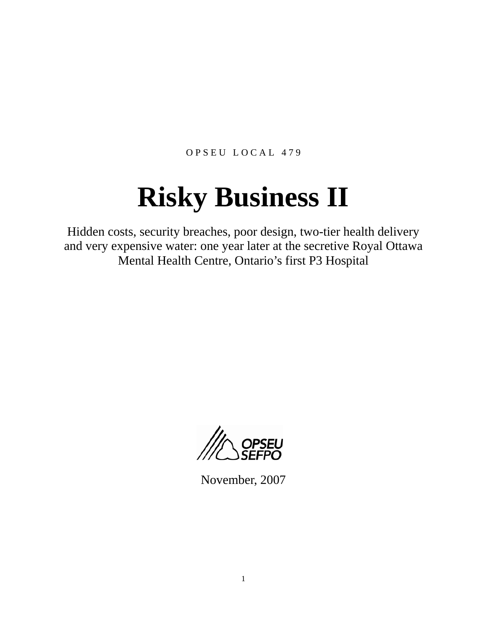OPSEU LOCAL 479

# **Risky Business II**

Hidden costs, security breaches, poor design, two-tier health delivery and very expensive water: one year later at the secretive Royal Ottawa Mental Health Centre, Ontario's first P3 Hospital



November, 2007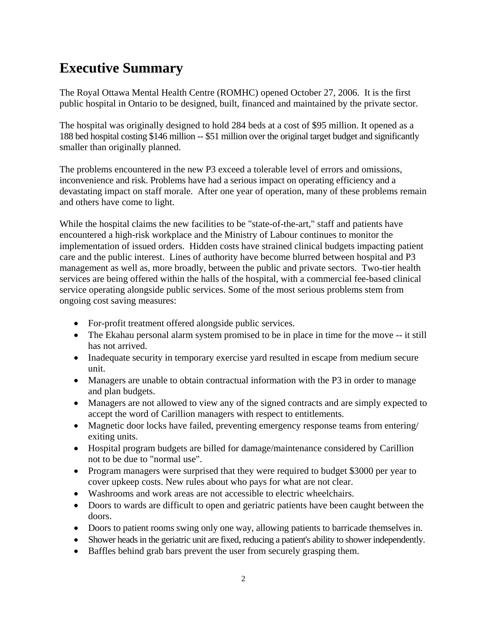#### **Executive Summary**

The Royal Ottawa Mental Health Centre (ROMHC) opened October 27, 2006. It is the first public hospital in Ontario to be designed, built, financed and maintained by the private sector.

The hospital was originally designed to hold 284 beds at a cost of \$95 million. It opened as a 188 bed hospital costing \$146 million -- \$51 million over the original target budget and significantly smaller than originally planned.

The problems encountered in the new P3 exceed a tolerable level of errors and omissions, inconvenience and risk. Problems have had a serious impact on operating efficiency and a devastating impact on staff morale. After one year of operation, many of these problems remain and others have come to light.

While the hospital claims the new facilities to be "state-of-the-art," staff and patients have encountered a high-risk workplace and the Ministry of Labour continues to monitor the implementation of issued orders. Hidden costs have strained clinical budgets impacting patient care and the public interest. Lines of authority have become blurred between hospital and P3 management as well as, more broadly, between the public and private sectors. Two-tier health services are being offered within the halls of the hospital, with a commercial fee-based clinical service operating alongside public services. Some of the most serious problems stem from ongoing cost saving measures:

- For-profit treatment offered alongside public services.
- The Ekahau personal alarm system promised to be in place in time for the move -- it still has not arrived.
- Inadequate security in temporary exercise yard resulted in escape from medium secure unit.
- Managers are unable to obtain contractual information with the P3 in order to manage and plan budgets.
- Managers are not allowed to view any of the signed contracts and are simply expected to accept the word of Carillion managers with respect to entitlements.
- Magnetic door locks have failed, preventing emergency response teams from entering/ exiting units.
- Hospital program budgets are billed for damage/maintenance considered by Carillion not to be due to "normal use".
- Program managers were surprised that they were required to budget \$3000 per year to cover upkeep costs. New rules about who pays for what are not clear.
- Washrooms and work areas are not accessible to electric wheelchairs.
- Doors to wards are difficult to open and geriatric patients have been caught between the doors.
- Doors to patient rooms swing only one way, allowing patients to barricade themselves in.
- Shower heads in the geriatric unit are fixed, reducing a patient's ability to shower independently.
- Baffles behind grab bars prevent the user from securely grasping them.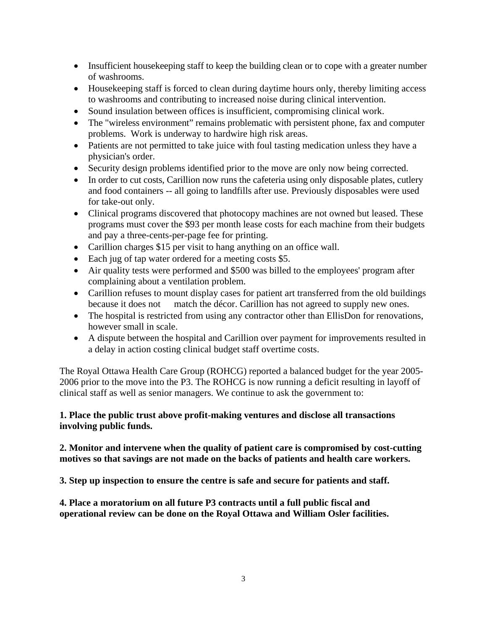- Insufficient house keeping staff to keep the building clean or to cope with a greater number of washrooms.
- House keeping staff is forced to clean during daytime hours only, thereby limiting access to washrooms and contributing to increased noise during clinical intervention.
- Sound insulation between offices is insufficient, compromising clinical work.
- The "wireless environment" remains problematic with persistent phone, fax and computer problems. Work is underway to hardwire high risk areas.
- Patients are not permitted to take juice with foul tasting medication unless they have a physician's order.
- Security design problems identified prior to the move are only now being corrected.
- In order to cut costs, Carillion now runs the cafeteria using only disposable plates, cutlery and food containers -- all going to landfills after use. Previously disposables were used for take-out only.
- Clinical programs discovered that photocopy machines are not owned but leased. These programs must cover the \$93 per month lease costs for each machine from their budgets and pay a three-cents-per-page fee for printing.
- Carillion charges \$15 per visit to hang anything on an office wall.
- Each jug of tap water ordered for a meeting costs \$5.
- Air quality tests were performed and \$500 was billed to the employees' program after complaining about a ventilation problem.
- Carillion refuses to mount display cases for patient art transferred from the old buildings because it does not match the décor. Carillion has not agreed to supply new ones.
- The hospital is restricted from using any contractor other than EllisDon for renovations, however small in scale.
- A dispute between the hospital and Carillion over payment for improvements resulted in a delay in action costing clinical budget staff overtime costs.

The Royal Ottawa Health Care Group (ROHCG) reported a balanced budget for the year 2005- 2006 prior to the move into the P3. The ROHCG is now running a deficit resulting in layoff of clinical staff as well as senior managers. We continue to ask the government to:

#### **1. Place the public trust above profit-making ventures and disclose all transactions involving public funds.**

#### **2. Monitor and intervene when the quality of patient care is compromised by cost-cutting motives so that savings are not made on the backs of patients and health care workers.**

**3. Step up inspection to ensure the centre is safe and secure for patients and staff.** 

**4. Place a moratorium on all future P3 contracts until a full public fiscal and operational review can be done on the Royal Ottawa and William Osler facilities.**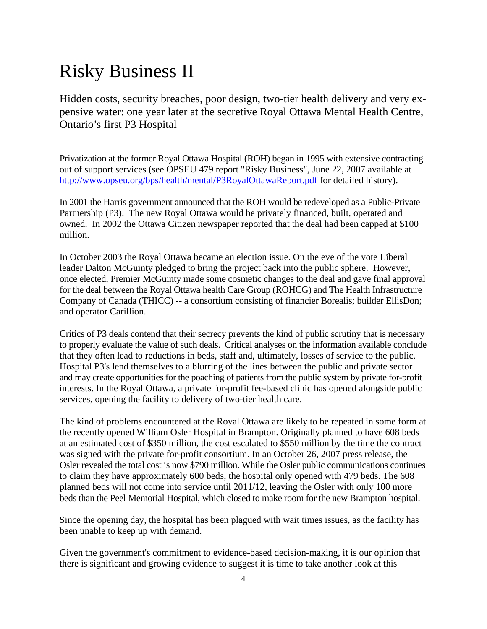## Risky Business II

Hidden costs, security breaches, poor design, two-tier health delivery and very expensive water: one year later at the secretive Royal Ottawa Mental Health Centre, Ontario's first P3 Hospital

Privatization at the former Royal Ottawa Hospital (ROH) began in 1995 with extensive contracting out of support services (see OPSEU 479 report "Risky Business", June 22, 2007 available at http://www.opseu.org/bps/health/mental/P3RoyalOttawaReport.pdf for detailed history).

In 2001 the Harris government announced that the ROH would be redeveloped as a Public-Private Partnership (P3). The new Royal Ottawa would be privately financed, built, operated and owned. In 2002 the Ottawa Citizen newspaper reported that the deal had been capped at \$100 million.

In October 2003 the Royal Ottawa became an election issue. On the eve of the vote Liberal leader Dalton McGuinty pledged to bring the project back into the public sphere. However, once elected, Premier McGuinty made some cosmetic changes to the deal and gave final approval for the deal between the Royal Ottawa health Care Group (ROHCG) and The Health Infrastructure Company of Canada (THICC) -- a consortium consisting of financier Borealis; builder EllisDon; and operator Carillion.

Critics of P3 deals contend that their secrecy prevents the kind of public scrutiny that is necessary to properly evaluate the value of such deals. Critical analyses on the information available conclude that they often lead to reductions in beds, staff and, ultimately, losses of service to the public. Hospital P3's lend themselves to a blurring of the lines between the public and private sector and may create opportunities for the poaching of patients from the public system by private for-profit interests. In the Royal Ottawa, a private for-profit fee-based clinic has opened alongside public services, opening the facility to delivery of two-tier health care.

The kind of problems encountered at the Royal Ottawa are likely to be repeated in some form at the recently opened William Osler Hospital in Brampton. Originally planned to have 608 beds at an estimated cost of \$350 million, the cost escalated to \$550 million by the time the contract was signed with the private for-profit consortium. In an October 26, 2007 press release, the Osler revealed the total cost is now \$790 million. While the Osler public communications continues to claim they have approximately 600 beds, the hospital only opened with 479 beds. The 608 planned beds will not come into service until 2011/12, leaving the Osler with only 100 more beds than the Peel Memorial Hospital, which closed to make room for the new Brampton hospital.

Since the opening day, the hospital has been plagued with wait times issues, as the facility has been unable to keep up with demand.

Given the government's commitment to evidence-based decision-making, it is our opinion that there is significant and growing evidence to suggest it is time to take another look at this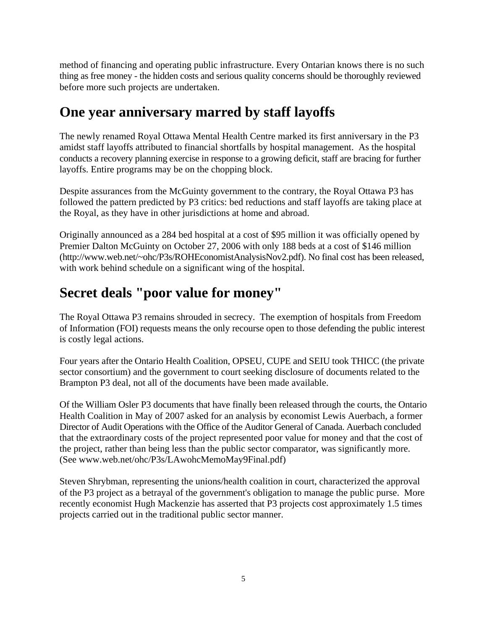method of financing and operating public infrastructure. Every Ontarian knows there is no such thing as free money - the hidden costs and serious quality concerns should be thoroughly reviewed before more such projects are undertaken.

#### **One year anniversary marred by staff layoffs**

The newly renamed Royal Ottawa Mental Health Centre marked its first anniversary in the P3 amidst staff layoffs attributed to financial shortfalls by hospital management. As the hospital conducts a recovery planning exercise in response to a growing deficit, staff are bracing for further layoffs. Entire programs may be on the chopping block.

Despite assurances from the McGuinty government to the contrary, the Royal Ottawa P3 has followed the pattern predicted by P3 critics: bed reductions and staff layoffs are taking place at the Royal, as they have in other jurisdictions at home and abroad.

Originally announced as a 284 bed hospital at a cost of \$95 million it was officially opened by Premier Dalton McGuinty on October 27, 2006 with only 188 beds at a cost of \$146 million (http://www.web.net/~ohc/P3s/ROHEconomistAnalysisNov2.pdf). No final cost has been released, with work behind schedule on a significant wing of the hospital.

#### **Secret deals "poor value for money"**

The Royal Ottawa P3 remains shrouded in secrecy. The exemption of hospitals from Freedom of Information (FOI) requests means the only recourse open to those defending the public interest is costly legal actions.

Four years after the Ontario Health Coalition, OPSEU, CUPE and SEIU took THICC (the private sector consortium) and the government to court seeking disclosure of documents related to the Brampton P3 deal, not all of the documents have been made available.

Of the William Osler P3 documents that have finally been released through the courts, the Ontario Health Coalition in May of 2007 asked for an analysis by economist Lewis Auerbach, a former Director of Audit Operations with the Office of the Auditor General of Canada. Auerbach concluded that the extraordinary costs of the project represented poor value for money and that the cost of the project, rather than being less than the public sector comparator, was significantly more. (See www.web.net/ohc/P3s/LAwohcMemoMay9Final.pdf)

Steven Shrybman, representing the unions/health coalition in court, characterized the approval of the P3 project as a betrayal of the government's obligation to manage the public purse. More recently economist Hugh Mackenzie has asserted that P3 projects cost approximately 1.5 times projects carried out in the traditional public sector manner.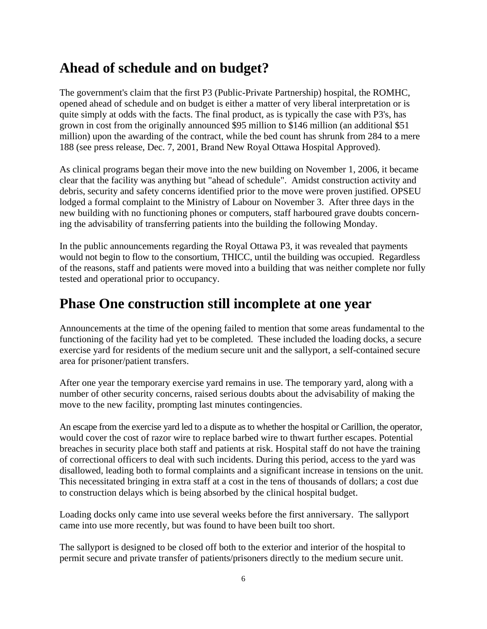#### **Ahead of schedule and on budget?**

The government's claim that the first P3 (Public-Private Partnership) hospital, the ROMHC, opened ahead of schedule and on budget is either a matter of very liberal interpretation or is quite simply at odds with the facts. The final product, as is typically the case with P3's, has grown in cost from the originally announced \$95 million to \$146 million (an additional \$51 million) upon the awarding of the contract, while the bed count has shrunk from 284 to a mere 188 (see press release, Dec. 7, 2001, Brand New Royal Ottawa Hospital Approved).

As clinical programs began their move into the new building on November 1, 2006, it became clear that the facility was anything but "ahead of schedule". Amidst construction activity and debris, security and safety concerns identified prior to the move were proven justified. OPSEU lodged a formal complaint to the Ministry of Labour on November 3. After three days in the new building with no functioning phones or computers, staff harboured grave doubts concerning the advisability of transferring patients into the building the following Monday.

In the public announcements regarding the Royal Ottawa P3, it was revealed that payments would not begin to flow to the consortium, THICC, until the building was occupied. Regardless of the reasons, staff and patients were moved into a building that was neither complete nor fully tested and operational prior to occupancy.

#### **Phase One construction still incomplete at one year**

Announcements at the time of the opening failed to mention that some areas fundamental to the functioning of the facility had yet to be completed. These included the loading docks, a secure exercise yard for residents of the medium secure unit and the sallyport, a self-contained secure area for prisoner/patient transfers.

After one year the temporary exercise yard remains in use. The temporary yard, along with a number of other security concerns, raised serious doubts about the advisability of making the move to the new facility, prompting last minutes contingencies.

An escape from the exercise yard led to a dispute as to whether the hospital or Carillion, the operator, would cover the cost of razor wire to replace barbed wire to thwart further escapes. Potential breaches in security place both staff and patients at risk. Hospital staff do not have the training of correctional officers to deal with such incidents. During this period, access to the yard was disallowed, leading both to formal complaints and a significant increase in tensions on the unit. This necessitated bringing in extra staff at a cost in the tens of thousands of dollars; a cost due to construction delays which is being absorbed by the clinical hospital budget.

Loading docks only came into use several weeks before the first anniversary. The sallyport came into use more recently, but was found to have been built too short.

The sallyport is designed to be closed off both to the exterior and interior of the hospital to permit secure and private transfer of patients/prisoners directly to the medium secure unit.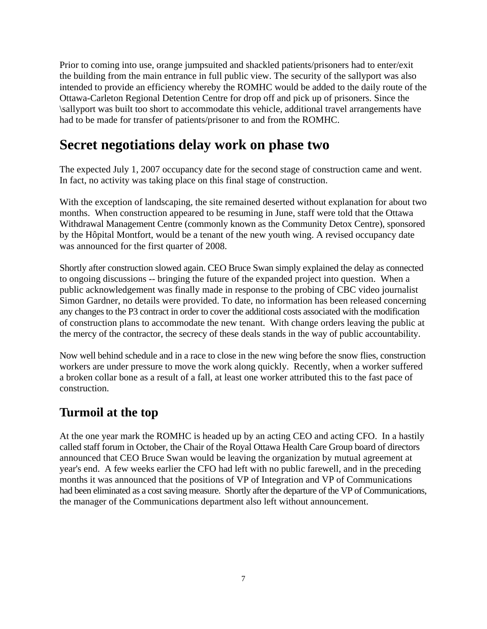Prior to coming into use, orange jumpsuited and shackled patients/prisoners had to enter/exit the building from the main entrance in full public view. The security of the sallyport was also intended to provide an efficiency whereby the ROMHC would be added to the daily route of the Ottawa-Carleton Regional Detention Centre for drop off and pick up of prisoners. Since the \sallyport was built too short to accommodate this vehicle, additional travel arrangements have had to be made for transfer of patients/prisoner to and from the ROMHC.

#### **Secret negotiations delay work on phase two**

The expected July 1, 2007 occupancy date for the second stage of construction came and went. In fact, no activity was taking place on this final stage of construction.

With the exception of landscaping, the site remained deserted without explanation for about two months. When construction appeared to be resuming in June, staff were told that the Ottawa Withdrawal Management Centre (commonly known as the Community Detox Centre), sponsored by the Hôpital Montfort, would be a tenant of the new youth wing. A revised occupancy date was announced for the first quarter of 2008.

Shortly after construction slowed again. CEO Bruce Swan simply explained the delay as connected to ongoing discussions -- bringing the future of the expanded project into question. When a public acknowledgement was finally made in response to the probing of CBC video journalist Simon Gardner, no details were provided. To date, no information has been released concerning any changes to the P3 contract in order to cover the additional costs associated with the modification of construction plans to accommodate the new tenant. With change orders leaving the public at the mercy of the contractor, the secrecy of these deals stands in the way of public accountability.

Now well behind schedule and in a race to close in the new wing before the snow flies, construction workers are under pressure to move the work along quickly. Recently, when a worker suffered a broken collar bone as a result of a fall, at least one worker attributed this to the fast pace of construction.

#### **Turmoil at the top**

At the one year mark the ROMHC is headed up by an acting CEO and acting CFO. In a hastily called staff forum in October, the Chair of the Royal Ottawa Health Care Group board of directors announced that CEO Bruce Swan would be leaving the organization by mutual agreement at year's end. A few weeks earlier the CFO had left with no public farewell, and in the preceding months it was announced that the positions of VP of Integration and VP of Communications had been eliminated as a cost saving measure. Shortly after the departure of the VP of Communications, the manager of the Communications department also left without announcement.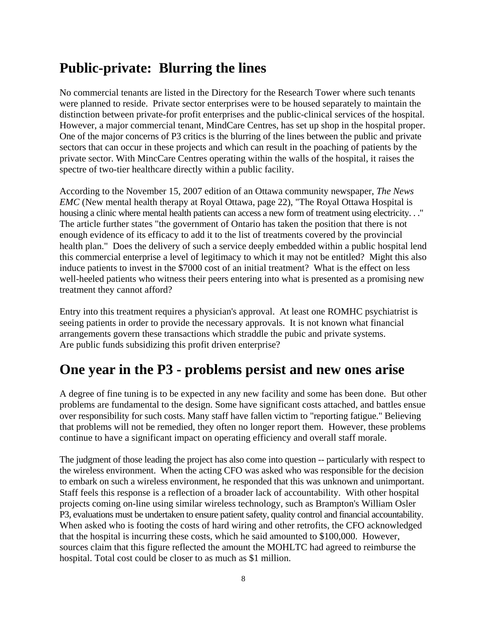#### **Public-private: Blurring the lines**

No commercial tenants are listed in the Directory for the Research Tower where such tenants were planned to reside. Private sector enterprises were to be housed separately to maintain the distinction between private-for profit enterprises and the public-clinical services of the hospital. However, a major commercial tenant, MindCare Centres, has set up shop in the hospital proper. One of the major concerns of P3 critics is the blurring of the lines between the public and private sectors that can occur in these projects and which can result in the poaching of patients by the private sector. With MincCare Centres operating within the walls of the hospital, it raises the spectre of two-tier healthcare directly within a public facility.

According to the November 15, 2007 edition of an Ottawa community newspaper, *The News EMC* (New mental health therapy at Royal Ottawa, page 22), "The Royal Ottawa Hospital is housing a clinic where mental health patients can access a new form of treatment using electricity. . ." The article further states "the government of Ontario has taken the position that there is not enough evidence of its efficacy to add it to the list of treatments covered by the provincial health plan." Does the delivery of such a service deeply embedded within a public hospital lend this commercial enterprise a level of legitimacy to which it may not be entitled? Might this also induce patients to invest in the \$7000 cost of an initial treatment? What is the effect on less well-heeled patients who witness their peers entering into what is presented as a promising new treatment they cannot afford?

Entry into this treatment requires a physician's approval. At least one ROMHC psychiatrist is seeing patients in order to provide the necessary approvals. It is not known what financial arrangements govern these transactions which straddle the pubic and private systems. Are public funds subsidizing this profit driven enterprise?

#### **One year in the P3 - problems persist and new ones arise**

A degree of fine tuning is to be expected in any new facility and some has been done. But other problems are fundamental to the design. Some have significant costs attached, and battles ensue over responsibility for such costs. Many staff have fallen victim to "reporting fatigue." Believing that problems will not be remedied, they often no longer report them. However, these problems continue to have a significant impact on operating efficiency and overall staff morale.

The judgment of those leading the project has also come into question -- particularly with respect to the wireless environment. When the acting CFO was asked who was responsible for the decision to embark on such a wireless environment, he responded that this was unknown and unimportant. Staff feels this response is a reflection of a broader lack of accountability. With other hospital projects coming on-line using similar wireless technology, such as Brampton's William Osler P3, evaluations must be undertaken to ensure patient safety, quality control and financial accountability. When asked who is footing the costs of hard wiring and other retrofits, the CFO acknowledged that the hospital is incurring these costs, which he said amounted to \$100,000. However, sources claim that this figure reflected the amount the MOHLTC had agreed to reimburse the hospital. Total cost could be closer to as much as \$1 million.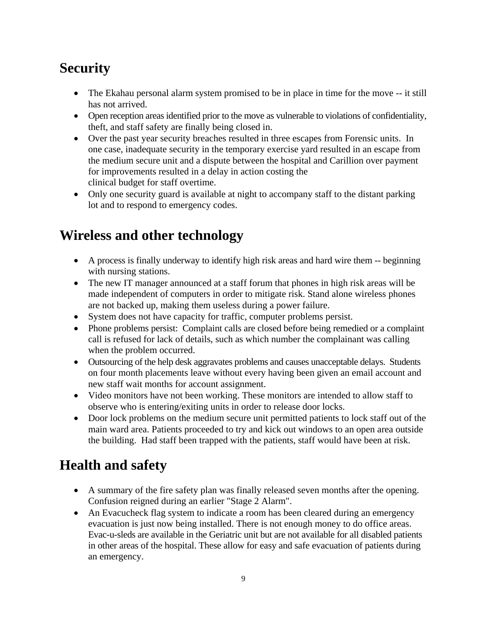## **Security**

- The Ekahau personal alarm system promised to be in place in time for the move -- it still has not arrived.
- Open reception areas identified prior to the move as vulnerable to violations of confidentiality, theft, and staff safety are finally being closed in.
- Over the past year security breaches resulted in three escapes from Forensic units. In one case, inadequate security in the temporary exercise yard resulted in an escape from the medium secure unit and a dispute between the hospital and Carillion over payment for improvements resulted in a delay in action costing the clinical budget for staff overtime.
- Only one security guard is available at night to accompany staff to the distant parking lot and to respond to emergency codes.

#### **Wireless and other technology**

- A process is finally underway to identify high risk areas and hard wire them -- beginning with nursing stations.
- The new IT manager announced at a staff forum that phones in high risk areas will be made independent of computers in order to mitigate risk. Stand alone wireless phones are not backed up, making them useless during a power failure.
- System does not have capacity for traffic, computer problems persist.
- Phone problems persist: Complaint calls are closed before being remedied or a complaint call is refused for lack of details, such as which number the complainant was calling when the problem occurred.
- Outsourcing of the help desk aggravates problems and causes unacceptable delays. Students on four month placements leave without every having been given an email account and new staff wait months for account assignment.
- Video monitors have not been working. These monitors are intended to allow staff to observe who is entering/exiting units in order to release door locks.
- Door lock problems on the medium secure unit permitted patients to lock staff out of the main ward area. Patients proceeded to try and kick out windows to an open area outside the building. Had staff been trapped with the patients, staff would have been at risk.

#### **Health and safety**

- A summary of the fire safety plan was finally released seven months after the opening. Confusion reigned during an earlier "Stage 2 Alarm".
- An Evacucheck flag system to indicate a room has been cleared during an emergency evacuation is just now being installed. There is not enough money to do office areas. Evac-u-sleds are available in the Geriatric unit but are not available for all disabled patients in other areas of the hospital. These allow for easy and safe evacuation of patients during an emergency.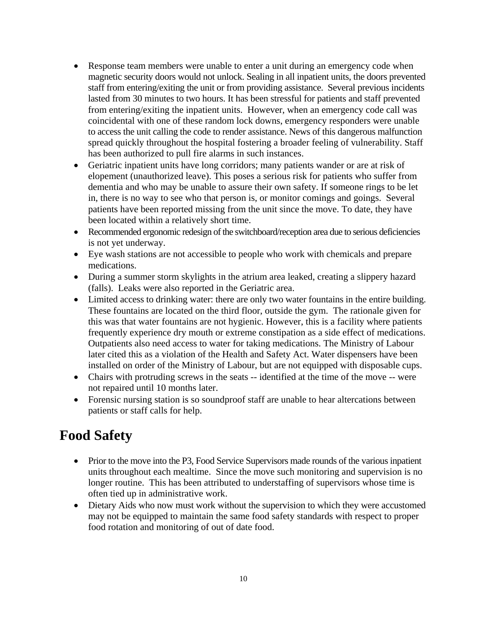- Response team members were unable to enter a unit during an emergency code when magnetic security doors would not unlock. Sealing in all inpatient units, the doors prevented staff from entering/exiting the unit or from providing assistance. Several previous incidents lasted from 30 minutes to two hours. It has been stressful for patients and staff prevented from entering/exiting the inpatient units. However, when an emergency code call was coincidental with one of these random lock downs, emergency responders were unable to access the unit calling the code to render assistance. News of this dangerous malfunction spread quickly throughout the hospital fostering a broader feeling of vulnerability. Staff has been authorized to pull fire alarms in such instances.
- Geriatric inpatient units have long corridors; many patients wander or are at risk of elopement (unauthorized leave). This poses a serious risk for patients who suffer from dementia and who may be unable to assure their own safety. If someone rings to be let in, there is no way to see who that person is, or monitor comings and goings. Several patients have been reported missing from the unit since the move. To date, they have been located within a relatively short time.
- Recommended ergonomic redesign of the switchboard/reception area due to serious deficiencies is not yet underway.
- Eye wash stations are not accessible to people who work with chemicals and prepare medications.
- During a summer storm skylights in the atrium area leaked, creating a slippery hazard (falls). Leaks were also reported in the Geriatric area.
- Limited access to drinking water: there are only two water fountains in the entire building. These fountains are located on the third floor, outside the gym. The rationale given for this was that water fountains are not hygienic. However, this is a facility where patients frequently experience dry mouth or extreme constipation as a side effect of medications. Outpatients also need access to water for taking medications. The Ministry of Labour later cited this as a violation of the Health and Safety Act. Water dispensers have been installed on order of the Ministry of Labour, but are not equipped with disposable cups.
- Chairs with protruding screws in the seats -- identified at the time of the move -- were not repaired until 10 months later.
- Forensic nursing station is so soundproof staff are unable to hear altercations between patients or staff calls for help.

#### **Food Safety**

- Prior to the move into the P3, Food Service Supervisors made rounds of the various inpatient units throughout each mealtime. Since the move such monitoring and supervision is no longer routine. This has been attributed to understaffing of supervisors whose time is often tied up in administrative work.
- Dietary Aids who now must work without the supervision to which they were accustomed may not be equipped to maintain the same food safety standards with respect to proper food rotation and monitoring of out of date food.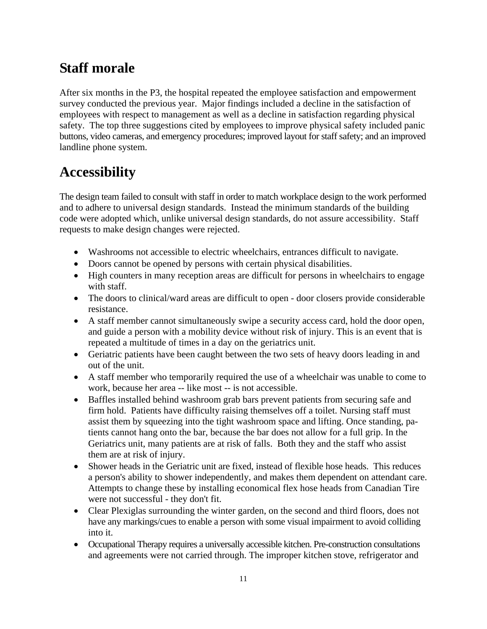#### **Staff morale**

After six months in the P3, the hospital repeated the employee satisfaction and empowerment survey conducted the previous year. Major findings included a decline in the satisfaction of employees with respect to management as well as a decline in satisfaction regarding physical safety. The top three suggestions cited by employees to improve physical safety included panic buttons, video cameras, and emergency procedures; improved layout for staff safety; and an improved landline phone system.

#### **Accessibility**

The design team failed to consult with staff in order to match workplace design to the work performed and to adhere to universal design standards. Instead the minimum standards of the building code were adopted which, unlike universal design standards, do not assure accessibility. Staff requests to make design changes were rejected.

- Washrooms not accessible to electric wheelchairs, entrances difficult to navigate.
- Doors cannot be opened by persons with certain physical disabilities.
- High counters in many reception areas are difficult for persons in wheelchairs to engage with staff.
- The doors to clinical/ward areas are difficult to open door closers provide considerable resistance.
- A staff member cannot simultaneously swipe a security access card, hold the door open, and guide a person with a mobility device without risk of injury. This is an event that is repeated a multitude of times in a day on the geriatrics unit.
- Geriatric patients have been caught between the two sets of heavy doors leading in and out of the unit.
- A staff member who temporarily required the use of a wheelchair was unable to come to work, because her area -- like most -- is not accessible.
- Baffles installed behind washroom grab bars prevent patients from securing safe and firm hold. Patients have difficulty raising themselves off a toilet. Nursing staff must assist them by squeezing into the tight washroom space and lifting. Once standing, patients cannot hang onto the bar, because the bar does not allow for a full grip. In the Geriatrics unit, many patients are at risk of falls. Both they and the staff who assist them are at risk of injury.
- Shower heads in the Geriatric unit are fixed, instead of flexible hose heads. This reduces a person's ability to shower independently, and makes them dependent on attendant care. Attempts to change these by installing economical flex hose heads from Canadian Tire were not successful - they don't fit.
- Clear Plexiglas surrounding the winter garden, on the second and third floors, does not have any markings/cues to enable a person with some visual impairment to avoid colliding into it.
- Occupational Therapy requires a universally accessible kitchen. Pre-construction consultations and agreements were not carried through. The improper kitchen stove, refrigerator and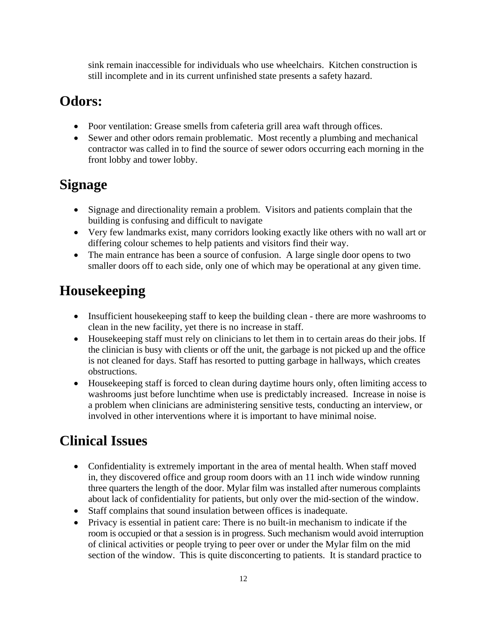sink remain inaccessible for individuals who use wheelchairs. Kitchen construction is still incomplete and in its current unfinished state presents a safety hazard.

#### **Odors:**

- Poor ventilation: Grease smells from cafeteria grill area waft through offices.
- Sewer and other odors remain problematic. Most recently a plumbing and mechanical contractor was called in to find the source of sewer odors occurring each morning in the front lobby and tower lobby.

### **Signage**

- Signage and directionality remain a problem. Visitors and patients complain that the building is confusing and difficult to navigate
- Very few landmarks exist, many corridors looking exactly like others with no wall art or differing colour schemes to help patients and visitors find their way.
- The main entrance has been a source of confusion. A large single door opens to two smaller doors off to each side, only one of which may be operational at any given time.

## **Housekeeping**

- Insufficient house keeping staff to keep the building clean there are more washrooms to clean in the new facility, yet there is no increase in staff.
- House keeping staff must rely on clinicians to let them in to certain areas do their jobs. If the clinician is busy with clients or off the unit, the garbage is not picked up and the office is not cleaned for days. Staff has resorted to putting garbage in hallways, which creates obstructions.
- Housekeeping staff is forced to clean during daytime hours only, often limiting access to washrooms just before lunchtime when use is predictably increased. Increase in noise is a problem when clinicians are administering sensitive tests, conducting an interview, or involved in other interventions where it is important to have minimal noise.

#### **Clinical Issues**

- Confidentiality is extremely important in the area of mental health. When staff moved in, they discovered office and group room doors with an 11 inch wide window running three quarters the length of the door. Mylar film was installed after numerous complaints about lack of confidentiality for patients, but only over the mid-section of the window.
- Staff complains that sound insulation between offices is inadequate.
- Privacy is essential in patient care: There is no built-in mechanism to indicate if the room is occupied or that a session is in progress. Such mechanism would avoid interruption of clinical activities or people trying to peer over or under the Mylar film on the mid section of the window. This is quite disconcerting to patients. It is standard practice to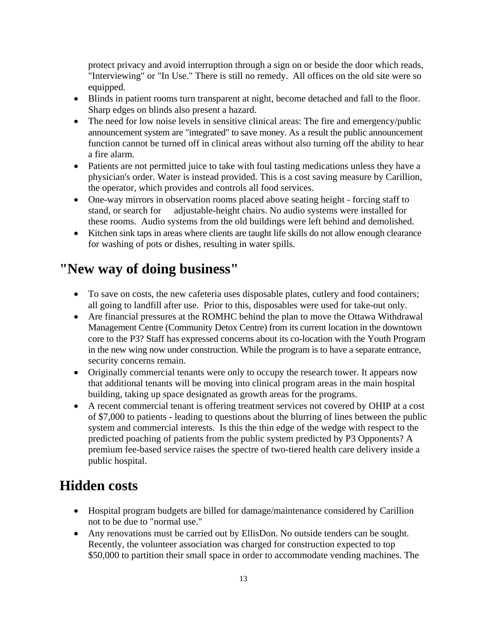protect privacy and avoid interruption through a sign on or beside the door which reads, "Interviewing" or "In Use." There is still no remedy. All offices on the old site were so equipped.

- Blinds in patient rooms turn transparent at night, become detached and fall to the floor. Sharp edges on blinds also present a hazard.
- The need for low noise levels in sensitive clinical areas: The fire and emergency/public announcement system are "integrated" to save money. As a result the public announcement function cannot be turned off in clinical areas without also turning off the ability to hear a fire alarm.
- Patients are not permitted juice to take with foul tasting medications unless they have a physician's order. Water is instead provided. This is a cost saving measure by Carillion, the operator, which provides and controls all food services.
- One-way mirrors in observation rooms placed above seating height forcing staff to stand, or search for adjustable-height chairs. No audio systems were installed for these rooms. Audio systems from the old buildings were left behind and demolished.
- Kitchen sink taps in areas where clients are taught life skills do not allow enough clearance for washing of pots or dishes, resulting in water spills.

#### **"New way of doing business"**

- To save on costs, the new cafeteria uses disposable plates, cutlery and food containers; all going to landfill after use. Prior to this, disposables were used for take-out only.
- Are financial pressures at the ROMHC behind the plan to move the Ottawa Withdrawal Management Centre (Community Detox Centre) from its current location in the downtown core to the P3? Staff has expressed concerns about its co-location with the Youth Program in the new wing now under construction. While the program is to have a separate entrance, security concerns remain.
- Originally commercial tenants were only to occupy the research tower. It appears now that additional tenants will be moving into clinical program areas in the main hospital building, taking up space designated as growth areas for the programs.
- A recent commercial tenant is offering treatment services not covered by OHIP at a cost of \$7,000 to patients - leading to questions about the blurring of lines between the public system and commercial interests. Is this the thin edge of the wedge with respect to the predicted poaching of patients from the public system predicted by P3 Opponents? A premium fee-based service raises the spectre of two-tiered health care delivery inside a public hospital.

#### **Hidden costs**

- Hospital program budgets are billed for damage/maintenance considered by Carillion not to be due to "normal use."
- Any renovations must be carried out by EllisDon. No outside tenders can be sought. Recently, the volunteer association was charged for construction expected to top \$50,000 to partition their small space in order to accommodate vending machines. The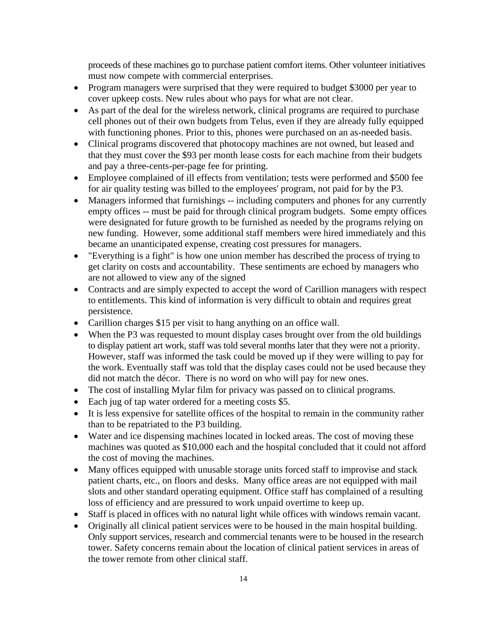proceeds of these machines go to purchase patient comfort items. Other volunteer initiatives must now compete with commercial enterprises.

- Program managers were surprised that they were required to budget \$3000 per year to cover upkeep costs. New rules about who pays for what are not clear.
- As part of the deal for the wireless network, clinical programs are required to purchase cell phones out of their own budgets from Telus, even if they are already fully equipped with functioning phones. Prior to this, phones were purchased on an as-needed basis.
- Clinical programs discovered that photocopy machines are not owned, but leased and that they must cover the \$93 per month lease costs for each machine from their budgets and pay a three-cents-per-page fee for printing.
- Employee complained of ill effects from ventilation; tests were performed and \$500 fee for air quality testing was billed to the employees' program, not paid for by the P3.
- Managers informed that furnishings -- including computers and phones for any currently empty offices -- must be paid for through clinical program budgets. Some empty offices were designated for future growth to be furnished as needed by the programs relying on new funding. However, some additional staff members were hired immediately and this became an unanticipated expense, creating cost pressures for managers.
- "Everything is a fight" is how one union member has described the process of trying to get clarity on costs and accountability. These sentiments are echoed by managers who are not allowed to view any of the signed
- Contracts and are simply expected to accept the word of Carillion managers with respect to entitlements. This kind of information is very difficult to obtain and requires great persistence.
- Carillion charges \$15 per visit to hang anything on an office wall.
- When the P3 was requested to mount display cases brought over from the old buildings to display patient art work, staff was told several months later that they were not a priority. However, staff was informed the task could be moved up if they were willing to pay for the work. Eventually staff was told that the display cases could not be used because they did not match the décor. There is no word on who will pay for new ones.
- The cost of installing Mylar film for privacy was passed on to clinical programs.
- Each jug of tap water ordered for a meeting costs \$5.
- It is less expensive for satellite offices of the hospital to remain in the community rather than to be repatriated to the P3 building.
- Water and ice dispensing machines located in locked areas. The cost of moving these machines was quoted as \$10,000 each and the hospital concluded that it could not afford the cost of moving the machines.
- Many offices equipped with unusable storage units forced staff to improvise and stack patient charts, etc., on floors and desks. Many office areas are not equipped with mail slots and other standard operating equipment. Office staff has complained of a resulting loss of efficiency and are pressured to work unpaid overtime to keep up.
- Staff is placed in offices with no natural light while offices with windows remain vacant.
- Originally all clinical patient services were to be housed in the main hospital building. Only support services, research and commercial tenants were to be housed in the research tower. Safety concerns remain about the location of clinical patient services in areas of the tower remote from other clinical staff.